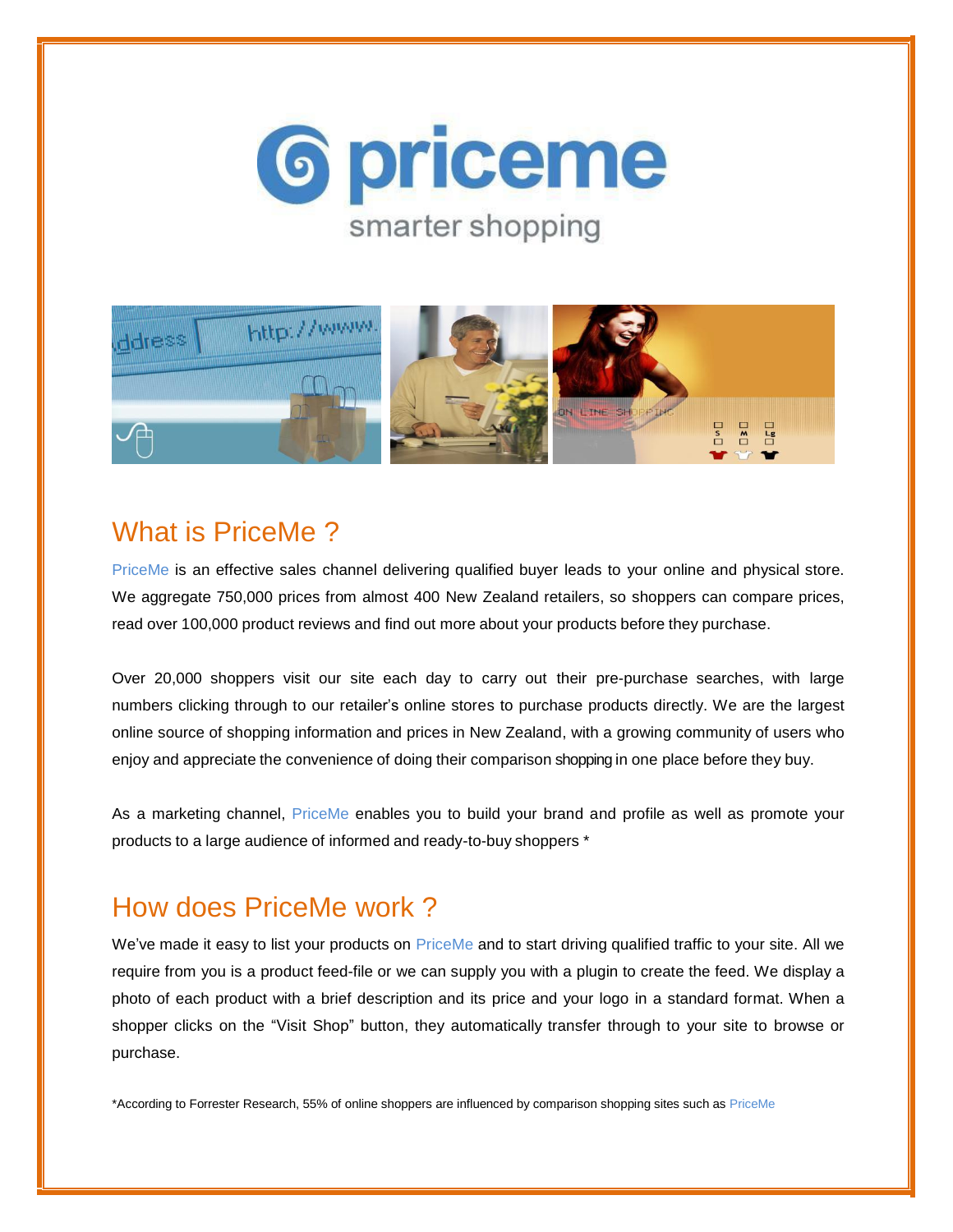



### What is PriceMe ?

PriceMe is an effective sales channel delivering qualified buyer leads to your online and physical store. We aggregate 750,000 prices from almost 400 New Zealand retailers, so shoppers can compare prices, read over 100,000 product reviews and find out more about your products before they purchase.

Over 20,000 shoppers visit our site each day to carry out their pre-purchase searches, with large numbers clicking through to our retailer's online stores to purchase products directly. We are the largest online source of shopping information and prices in New Zealand, with a growing community of users who enjoy and appreciate the convenience of doing their comparison shopping in one place before they buy.

As a marketing channel, PriceMe enables you to build your brand and profile as well as promote your products to a large audience of informed and ready-to-buy shoppers \*

## How does PriceMe work ?

We've made it easy to list your products on PriceMe and to start driving qualified traffic to your site. All we require from you is a product feed-file or we can supply you with a plugin to create the feed. We display a photo of each product with a brief description and its price and your logo in a standard format. When a shopper clicks on the "Visit Shop" button, they automatically transfer through to your site to browse or purchase.

\*According to Forrester Research, 55% of online shoppers are influenced by comparison shopping sites such as PriceMe